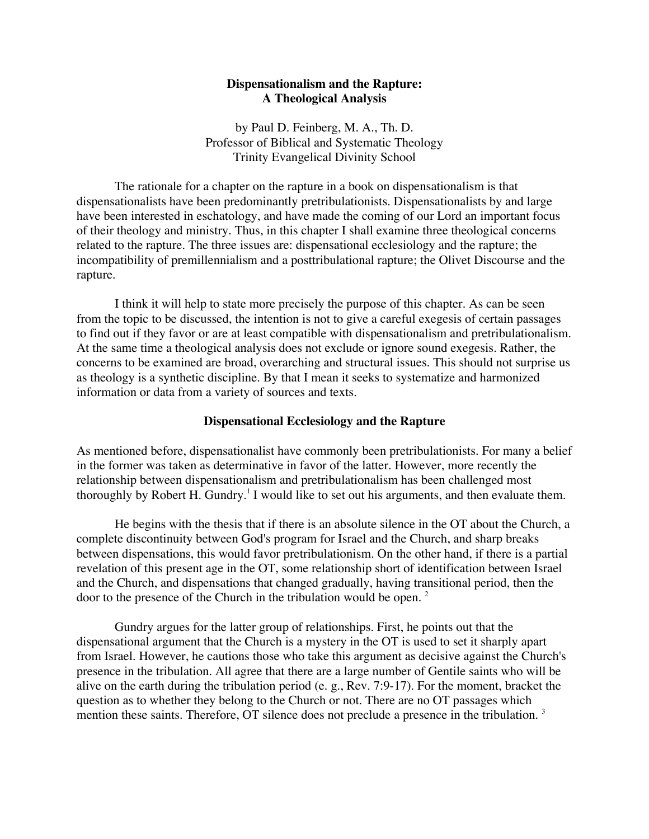# **Dispensationalism and the Rapture: A Theological Analysis**

by Paul D. Feinberg, M. A., Th. D. Professor of Biblical and Systematic Theology Trinity Evangelical Divinity School

The rationale for a chapter on the rapture in a book on dispensationalism is that dispensationalists have been predominantly pretribulationists. Dispensationalists by and large have been interested in eschatology, and have made the coming of our Lord an important focus of their theology and ministry. Thus, in this chapter I shall examine three theological concerns related to the rapture. The three issues are: dispensational ecclesiology and the rapture; the incompatibility of premillennialism and a posttribulational rapture; the Olivet Discourse and the rapture.

I think it will help to state more precisely the purpose of this chapter. As can be seen from the topic to be discussed, the intention is not to give a careful exegesis of certain passages to find out if they favor or are at least compatible with dispensationalism and pretribulationalism. At the same time a theological analysis does not exclude or ignore sound exegesis. Rather, the concerns to be examined are broad, overarching and structural issues. This should not surprise us as theology is a synthetic discipline. By that I mean it seeks to systematize and harmonized information or data from a variety of sources and texts.

### **Dispensational Ecclesiology and the Rapture**

As mentioned before, dispensationalist have commonly been pretribulationists. For many a belief in the former was taken as determinative in favor of the latter. However, more recently the relationship between dispensationalism and pretribulationalism has been challenged most thoroughly by Robert H. Gundry.<sup>1</sup> I would like to set out his arguments, and then evaluate them.

He begins with the thesis that if there is an absolute silence in the OT about the Church, a complete discontinuity between God's program for Israel and the Church, and sharp breaks between dispensations, this would favor pretribulationism. On the other hand, if there is a partial revelation of this present age in the OT, some relationship short of identification between Israel and the Church, and dispensations that changed gradually, having transitional period, then the door to the presence of the Church in the tribulation would be open.<sup>2</sup>

Gundry argues for the latter group of relationships. First, he points out that the dispensational argument that the Church is a mystery in the OT is used to set it sharply apart from Israel. However, he cautions those who take this argument as decisive against the Church's presence in the tribulation. All agree that there are a large number of Gentile saints who will be alive on the earth during the tribulation period (e. g., Rev. 7:9-17). For the moment, bracket the question as to whether they belong to the Church or not. There are no OT passages which mention these saints. Therefore, OT silence does not preclude a presence in the tribulation.<sup>3</sup>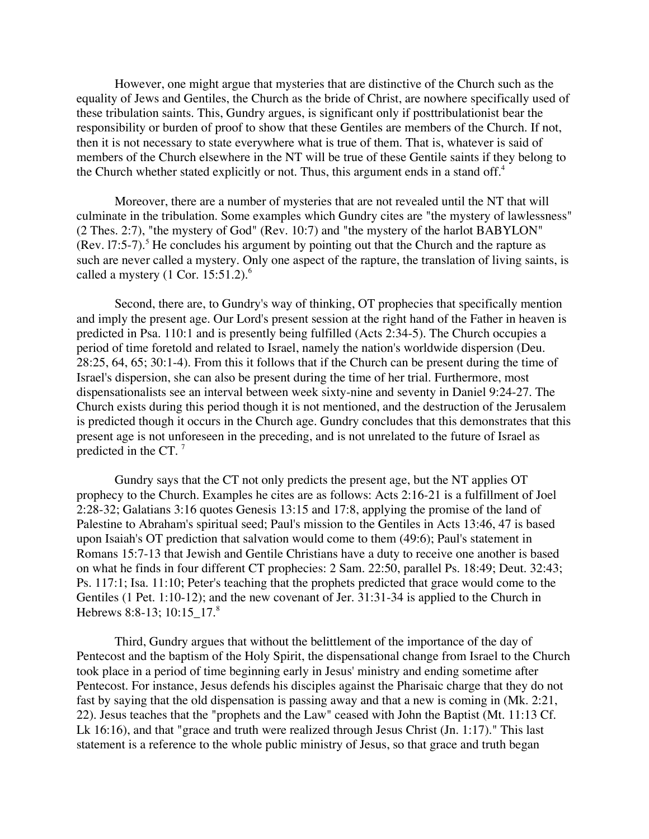However, one might argue that mysteries that are distinctive of the Church such as the equality of Jews and Gentiles, the Church as the bride of Christ, are nowhere specifically used of these tribulation saints. This, Gundry argues, is significant only if posttribulationist bear the responsibility or burden of proof to show that these Gentiles are members of the Church. If not, then it is not necessary to state everywhere what is true of them. That is, whatever is said of members of the Church elsewhere in the NT will be true of these Gentile saints if they belong to the Church whether stated explicitly or not. Thus, this argument ends in a stand off.<sup>4</sup>

Moreover, there are a number of mysteries that are not revealed until the NT that will culminate in the tribulation. Some examples which Gundry cites are "the mystery of lawlessness" (2 Thes. 2:7), "the mystery of God" (Rev. 10:7) and "the mystery of the harlot BABYLON" (Rev. 17:5-7).<sup>5</sup> He concludes his argument by pointing out that the Church and the rapture as such are never called a mystery. Only one aspect of the rapture, the translation of living saints, is called a mystery  $(1 \text{ Cor. } 15:51.2)$ .<sup>6</sup>

Second, there are, to Gundry's way of thinking, OT prophecies that specifically mention and imply the present age. Our Lord's present session at the right hand of the Father in heaven is predicted in Psa. 110:1 and is presently being fulfilled (Acts 2:34-5). The Church occupies a period of time foretold and related to Israel, namely the nation's worldwide dispersion (Deu. 28:25, 64, 65; 30:1-4). From this it follows that if the Church can be present during the time of Israel's dispersion, she can also be present during the time of her trial. Furthermore, most dispensationalists see an interval between week sixty-nine and seventy in Daniel 9:24-27. The Church exists during this period though it is not mentioned, and the destruction of the Jerusalem is predicted though it occurs in the Church age. Gundry concludes that this demonstrates that this present age is not unforeseen in the preceding, and is not unrelated to the future of Israel as predicted in the CT. 7

Gundry says that the CT not only predicts the present age, but the NT applies OT prophecy to the Church. Examples he cites are as follows: Acts 2:16-21 is a fulfillment of Joel 2:28-32; Galatians 3:16 quotes Genesis 13:15 and 17:8, applying the promise of the land of Palestine to Abraham's spiritual seed; Paul's mission to the Gentiles in Acts 13:46, 47 is based upon Isaiah's OT prediction that salvation would come to them (49:6); Paul's statement in Romans 15:7-13 that Jewish and Gentile Christians have a duty to receive one another is based on what he finds in four different CT prophecies: 2 Sam. 22:50, parallel Ps. 18:49; Deut. 32:43; Ps. 117:1; Isa. 11:10; Peter's teaching that the prophets predicted that grace would come to the Gentiles (1 Pet. 1:10-12); and the new covenant of Jer. 31:31-34 is applied to the Church in Hebrews 8:8-13; 10:15 17.<sup>8</sup>

Third, Gundry argues that without the belittlement of the importance of the day of Pentecost and the baptism of the Holy Spirit, the dispensational change from Israel to the Church took place in a period of time beginning early in Jesus' ministry and ending sometime after Pentecost. For instance, Jesus defends his disciples against the Pharisaic charge that they do not fast by saying that the old dispensation is passing away and that a new is coming in (Mk. 2:21, 22). Jesus teaches that the "prophets and the Law" ceased with John the Baptist (Mt. 11:13 Cf. Lk 16:16), and that "grace and truth were realized through Jesus Christ (Jn. 1:17)." This last statement is a reference to the whole public ministry of Jesus, so that grace and truth began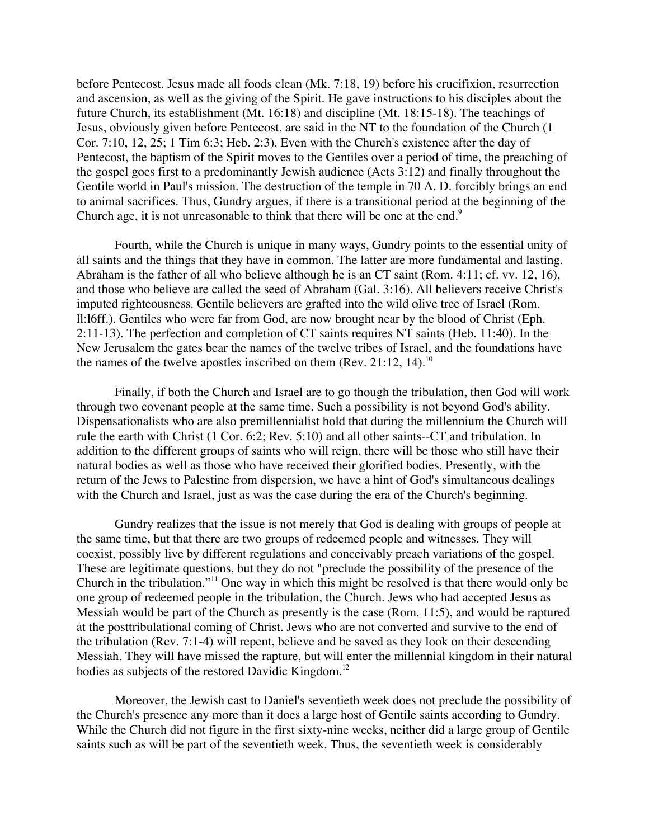before Pentecost. Jesus made all foods clean (Mk. 7:18, 19) before his crucifixion, resurrection and ascension, as well as the giving of the Spirit. He gave instructions to his disciples about the future Church, its establishment (Mt. 16:18) and discipline (Mt. 18:15-18). The teachings of Jesus, obviously given before Pentecost, are said in the NT to the foundation of the Church (1 Cor. 7:10, 12, 25; 1 Tim 6:3; Heb. 2:3). Even with the Church's existence after the day of Pentecost, the baptism of the Spirit moves to the Gentiles over a period of time, the preaching of the gospel goes first to a predominantly Jewish audience (Acts 3:12) and finally throughout the Gentile world in Paul's mission. The destruction of the temple in 70 A. D. forcibly brings an end to animal sacrifices. Thus, Gundry argues, if there is a transitional period at the beginning of the Church age, it is not unreasonable to think that there will be one at the end.<sup>9</sup>

Fourth, while the Church is unique in many ways, Gundry points to the essential unity of all saints and the things that they have in common. The latter are more fundamental and lasting. Abraham is the father of all who believe although he is an CT saint (Rom. 4:11; cf. vv. 12, 16), and those who believe are called the seed of Abraham (Gal. 3:16). All believers receive Christ's imputed righteousness. Gentile believers are grafted into the wild olive tree of Israel (Rom. ll:l6ff.). Gentiles who were far from God, are now brought near by the blood of Christ (Eph. 2:11-13). The perfection and completion of CT saints requires NT saints (Heb. 11:40). In the New Jerusalem the gates bear the names of the twelve tribes of Israel, and the foundations have the names of the twelve apostles inscribed on them (Rev.  $21:12$ , 14).<sup>10</sup>

Finally, if both the Church and Israel are to go though the tribulation, then God will work through two covenant people at the same time. Such a possibility is not beyond God's ability. Dispensationalists who are also premillennialist hold that during the millennium the Church will rule the earth with Christ (1 Cor. 6:2; Rev. 5:10) and all other saints--CT and tribulation. In addition to the different groups of saints who will reign, there will be those who still have their natural bodies as well as those who have received their glorified bodies. Presently, with the return of the Jews to Palestine from dispersion, we have a hint of God's simultaneous dealings with the Church and Israel, just as was the case during the era of the Church's beginning.

Gundry realizes that the issue is not merely that God is dealing with groups of people at the same time, but that there are two groups of redeemed people and witnesses. They will coexist, possibly live by different regulations and conceivably preach variations of the gospel. These are legitimate questions, but they do not "preclude the possibility of the presence of the Church in the tribulation."<sup>11</sup> One way in which this might be resolved is that there would only be one group of redeemed people in the tribulation, the Church. Jews who had accepted Jesus as Messiah would be part of the Church as presently is the case (Rom. 11:5), and would be raptured at the posttribulational coming of Christ. Jews who are not converted and survive to the end of the tribulation (Rev. 7:1-4) will repent, believe and be saved as they look on their descending Messiah. They will have missed the rapture, but will enter the millennial kingdom in their natural bodies as subjects of the restored Davidic Kingdom.<sup>12</sup>

Moreover, the Jewish cast to Daniel's seventieth week does not preclude the possibility of the Church's presence any more than it does a large host of Gentile saints according to Gundry. While the Church did not figure in the first sixty-nine weeks, neither did a large group of Gentile saints such as will be part of the seventieth week. Thus, the seventieth week is considerably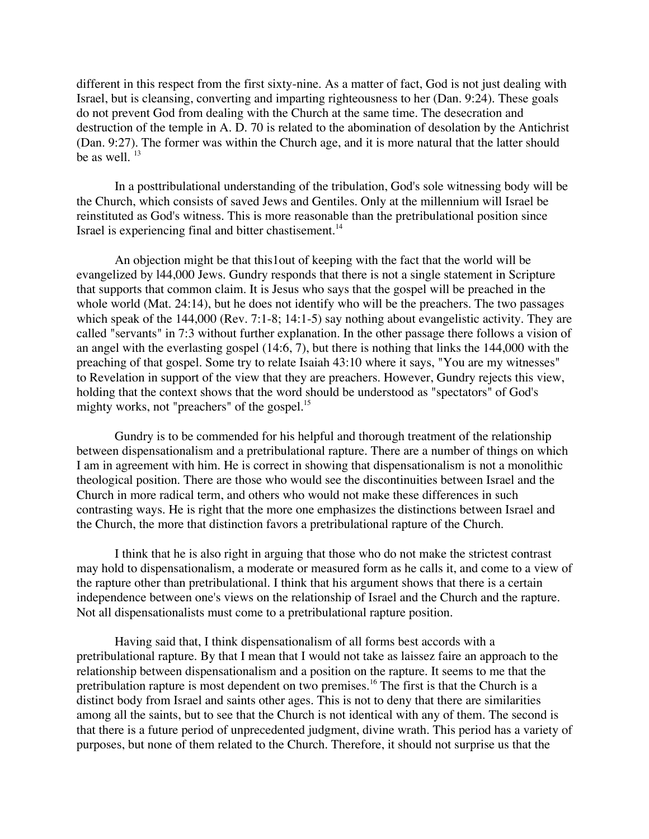different in this respect from the first sixty-nine. As a matter of fact, God is not just dealing with Israel, but is cleansing, converting and imparting righteousness to her (Dan. 9:24). These goals do not prevent God from dealing with the Church at the same time. The desecration and destruction of the temple in A. D. 70 is related to the abomination of desolation by the Antichrist (Dan. 9:27). The former was within the Church age, and it is more natural that the latter should be as well.  $13$ 

In a posttribulational understanding of the tribulation, God's sole witnessing body will be the Church, which consists of saved Jews and Gentiles. Only at the millennium will Israel be reinstituted as God's witness. This is more reasonable than the pretribulational position since Israel is experiencing final and bitter chastisement.<sup>14</sup>

An objection might be that this1out of keeping with the fact that the world will be evangelized by l44,000 Jews. Gundry responds that there is not a single statement in Scripture that supports that common claim. It is Jesus who says that the gospel will be preached in the whole world (Mat. 24:14), but he does not identify who will be the preachers. The two passages which speak of the 144,000 (Rev. 7:1-8; 14:1-5) say nothing about evangelistic activity. They are called "servants" in 7:3 without further explanation. In the other passage there follows a vision of an angel with the everlasting gospel (14:6, 7), but there is nothing that links the 144,000 with the preaching of that gospel. Some try to relate Isaiah 43:10 where it says, "You are my witnesses" to Revelation in support of the view that they are preachers. However, Gundry rejects this view, holding that the context shows that the word should be understood as "spectators" of God's mighty works, not "preachers" of the gospel.<sup>15</sup>

Gundry is to be commended for his helpful and thorough treatment of the relationship between dispensationalism and a pretribulational rapture. There are a number of things on which I am in agreement with him. He is correct in showing that dispensationalism is not a monolithic theological position. There are those who would see the discontinuities between Israel and the Church in more radical term, and others who would not make these differences in such contrasting ways. He is right that the more one emphasizes the distinctions between Israel and the Church, the more that distinction favors a pretribulational rapture of the Church.

I think that he is also right in arguing that those who do not make the strictest contrast may hold to dispensationalism, a moderate or measured form as he calls it, and come to a view of the rapture other than pretribulational. I think that his argument shows that there is a certain independence between one's views on the relationship of Israel and the Church and the rapture. Not all dispensationalists must come to a pretribulational rapture position.

Having said that, I think dispensationalism of all forms best accords with a pretribulational rapture. By that I mean that I would not take as laissez faire an approach to the relationship between dispensationalism and a position on the rapture. It seems to me that the pretribulation rapture is most dependent on two premises.<sup>16</sup> The first is that the Church is a distinct body from Israel and saints other ages. This is not to deny that there are similarities among all the saints, but to see that the Church is not identical with any of them. The second is that there is a future period of unprecedented judgment, divine wrath. This period has a variety of purposes, but none of them related to the Church. Therefore, it should not surprise us that the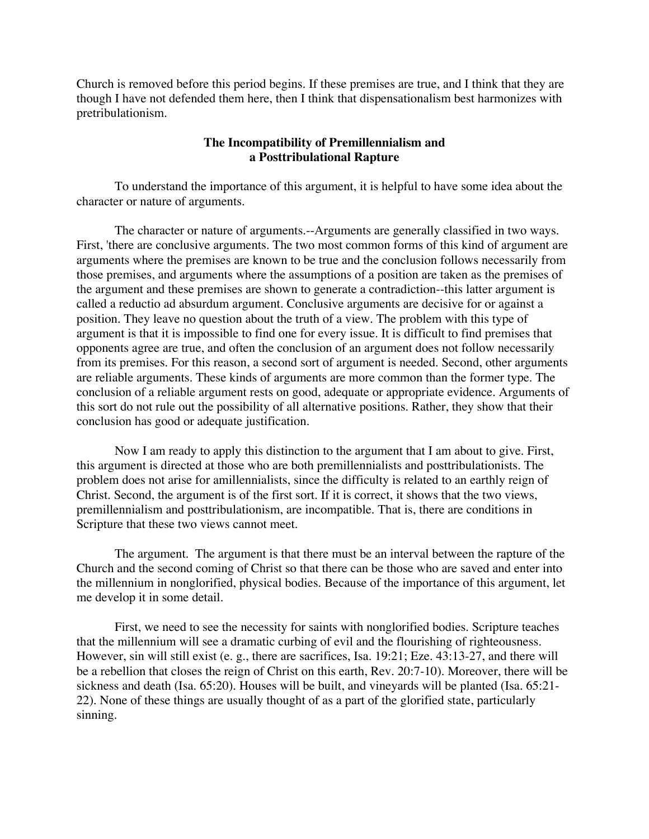Church is removed before this period begins. If these premises are true, and I think that they are though I have not defended them here, then I think that dispensationalism best harmonizes with pretribulationism.

## **The Incompatibility of Premillennialism and a Posttribulational Rapture**

To understand the importance of this argument, it is helpful to have some idea about the character or nature of arguments.

The character or nature of arguments.--Arguments are generally classified in two ways. First, 'there are conclusive arguments. The two most common forms of this kind of argument are arguments where the premises are known to be true and the conclusion follows necessarily from those premises, and arguments where the assumptions of a position are taken as the premises of the argument and these premises are shown to generate a contradiction--this latter argument is called a reductio ad absurdum argument. Conclusive arguments are decisive for or against a position. They leave no question about the truth of a view. The problem with this type of argument is that it is impossible to find one for every issue. It is difficult to find premises that opponents agree are true, and often the conclusion of an argument does not follow necessarily from its premises. For this reason, a second sort of argument is needed. Second, other arguments are reliable arguments. These kinds of arguments are more common than the former type. The conclusion of a reliable argument rests on good, adequate or appropriate evidence. Arguments of this sort do not rule out the possibility of all alternative positions. Rather, they show that their conclusion has good or adequate justification.

Now I am ready to apply this distinction to the argument that I am about to give. First, this argument is directed at those who are both premillennialists and posttribulationists. The problem does not arise for amillennialists, since the difficulty is related to an earthly reign of Christ. Second, the argument is of the first sort. If it is correct, it shows that the two views, premillennialism and posttribulationism, are incompatible. That is, there are conditions in Scripture that these two views cannot meet.

The argument. The argument is that there must be an interval between the rapture of the Church and the second coming of Christ so that there can be those who are saved and enter into the millennium in nonglorified, physical bodies. Because of the importance of this argument, let me develop it in some detail.

First, we need to see the necessity for saints with nonglorified bodies. Scripture teaches that the millennium will see a dramatic curbing of evil and the flourishing of righteousness. However, sin will still exist (e. g., there are sacrifices, Isa. 19:21; Eze. 43:13-27, and there will be a rebellion that closes the reign of Christ on this earth, Rev. 20:7-10). Moreover, there will be sickness and death (Isa. 65:20). Houses will be built, and vineyards will be planted (Isa. 65:21- 22). None of these things are usually thought of as a part of the glorified state, particularly sinning.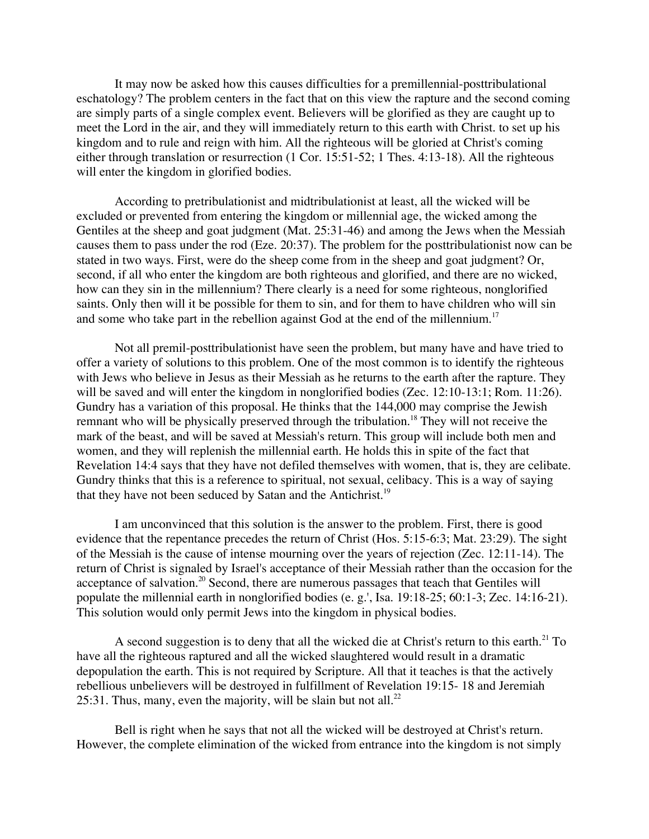It may now be asked how this causes difficulties for a premillennial-posttribulational eschatology? The problem centers in the fact that on this view the rapture and the second coming are simply parts of a single complex event. Believers will be glorified as they are caught up to meet the Lord in the air, and they will immediately return to this earth with Christ. to set up his kingdom and to rule and reign with him. All the righteous will be gloried at Christ's coming either through translation or resurrection (1 Cor. 15:51-52; 1 Thes. 4:13-18). All the righteous will enter the kingdom in glorified bodies.

According to pretribulationist and midtribulationist at least, all the wicked will be excluded or prevented from entering the kingdom or millennial age, the wicked among the Gentiles at the sheep and goat judgment (Mat. 25:31-46) and among the Jews when the Messiah causes them to pass under the rod (Eze. 20:37). The problem for the posttribulationist now can be stated in two ways. First, were do the sheep come from in the sheep and goat judgment? Or, second, if all who enter the kingdom are both righteous and glorified, and there are no wicked, how can they sin in the millennium? There clearly is a need for some righteous, nonglorified saints. Only then will it be possible for them to sin, and for them to have children who will sin and some who take part in the rebellion against God at the end of the millennium.<sup>17</sup>

Not all premil-posttribulationist have seen the problem, but many have and have tried to offer a variety of solutions to this problem. One of the most common is to identify the righteous with Jews who believe in Jesus as their Messiah as he returns to the earth after the rapture. They will be saved and will enter the kingdom in nonglorified bodies (Zec. 12:10-13:1; Rom. 11:26). Gundry has a variation of this proposal. He thinks that the 144,000 may comprise the Jewish remnant who will be physically preserved through the tribulation.<sup>18</sup> They will not receive the mark of the beast, and will be saved at Messiah's return. This group will include both men and women, and they will replenish the millennial earth. He holds this in spite of the fact that Revelation 14:4 says that they have not defiled themselves with women, that is, they are celibate. Gundry thinks that this is a reference to spiritual, not sexual, celibacy. This is a way of saying that they have not been seduced by Satan and the Antichrist.<sup>19</sup>

I am unconvinced that this solution is the answer to the problem. First, there is good evidence that the repentance precedes the return of Christ (Hos. 5:15-6:3; Mat. 23:29). The sight of the Messiah is the cause of intense mourning over the years of rejection (Zec. 12:11-14). The return of Christ is signaled by Israel's acceptance of their Messiah rather than the occasion for the acceptance of salvation.<sup>20</sup> Second, there are numerous passages that teach that Gentiles will populate the millennial earth in nonglorified bodies (e. g.', Isa. 19:18-25; 60:1-3; Zec. 14:16-21). This solution would only permit Jews into the kingdom in physical bodies.

A second suggestion is to deny that all the wicked die at Christ's return to this earth.<sup>21</sup> To have all the righteous raptured and all the wicked slaughtered would result in a dramatic depopulation the earth. This is not required by Scripture. All that it teaches is that the actively rebellious unbelievers will be destroyed in fulfillment of Revelation 19:15- 18 and Jeremiah 25:31. Thus, many, even the majority, will be slain but not all.<sup>22</sup>

Bell is right when he says that not all the wicked will be destroyed at Christ's return. However, the complete elimination of the wicked from entrance into the kingdom is not simply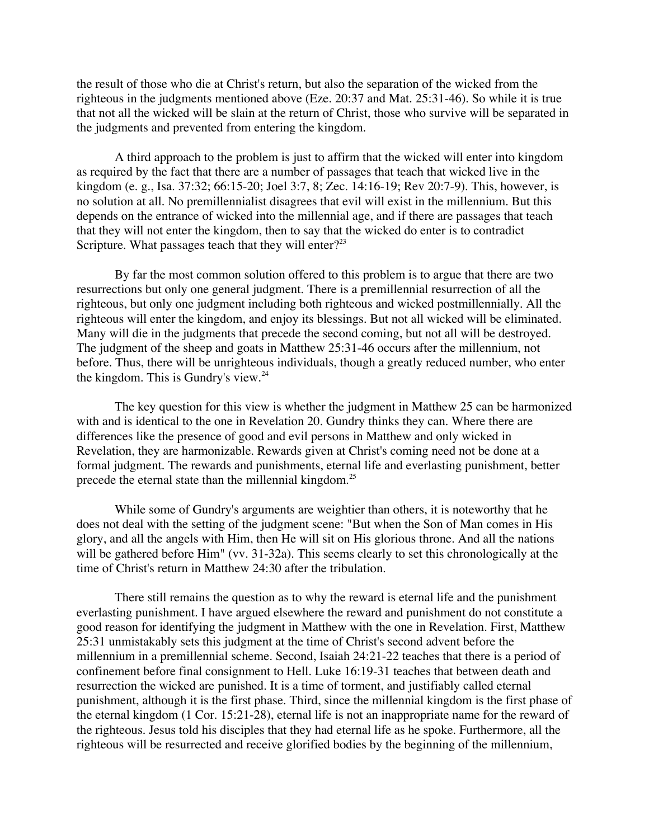the result of those who die at Christ's return, but also the separation of the wicked from the righteous in the judgments mentioned above (Eze. 20:37 and Mat. 25:31-46). So while it is true that not all the wicked will be slain at the return of Christ, those who survive will be separated in the judgments and prevented from entering the kingdom.

A third approach to the problem is just to affirm that the wicked will enter into kingdom as required by the fact that there are a number of passages that teach that wicked live in the kingdom (e. g., Isa. 37:32; 66:15-20; Joel 3:7, 8; Zec. 14:16-19; Rev 20:7-9). This, however, is no solution at all. No premillennialist disagrees that evil will exist in the millennium. But this depends on the entrance of wicked into the millennial age, and if there are passages that teach that they will not enter the kingdom, then to say that the wicked do enter is to contradict Scripture. What passages teach that they will enter?<sup>23</sup>

By far the most common solution offered to this problem is to argue that there are two resurrections but only one general judgment. There is a premillennial resurrection of all the righteous, but only one judgment including both righteous and wicked postmillennially. All the righteous will enter the kingdom, and enjoy its blessings. But not all wicked will be eliminated. Many will die in the judgments that precede the second coming, but not all will be destroyed. The judgment of the sheep and goats in Matthew 25:31-46 occurs after the millennium, not before. Thus, there will be unrighteous individuals, though a greatly reduced number, who enter the kingdom. This is Gundry's view. $^{24}$ 

The key question for this view is whether the judgment in Matthew 25 can be harmonized with and is identical to the one in Revelation 20. Gundry thinks they can. Where there are differences like the presence of good and evil persons in Matthew and only wicked in Revelation, they are harmonizable. Rewards given at Christ's coming need not be done at a formal judgment. The rewards and punishments, eternal life and everlasting punishment, better precede the eternal state than the millennial kingdom.<sup>25</sup>

While some of Gundry's arguments are weightier than others, it is noteworthy that he does not deal with the setting of the judgment scene: "But when the Son of Man comes in His glory, and all the angels with Him, then He will sit on His glorious throne. And all the nations will be gathered before Him" (vv. 31-32a). This seems clearly to set this chronologically at the time of Christ's return in Matthew 24:30 after the tribulation.

There still remains the question as to why the reward is eternal life and the punishment everlasting punishment. I have argued elsewhere the reward and punishment do not constitute a good reason for identifying the judgment in Matthew with the one in Revelation. First, Matthew 25:31 unmistakably sets this judgment at the time of Christ's second advent before the millennium in a premillennial scheme. Second, Isaiah 24:21-22 teaches that there is a period of confinement before final consignment to Hell. Luke 16:19-31 teaches that between death and resurrection the wicked are punished. It is a time of torment, and justifiably called eternal punishment, although it is the first phase. Third, since the millennial kingdom is the first phase of the eternal kingdom (1 Cor. 15:21-28), eternal life is not an inappropriate name for the reward of the righteous. Jesus told his disciples that they had eternal life as he spoke. Furthermore, all the righteous will be resurrected and receive glorified bodies by the beginning of the millennium,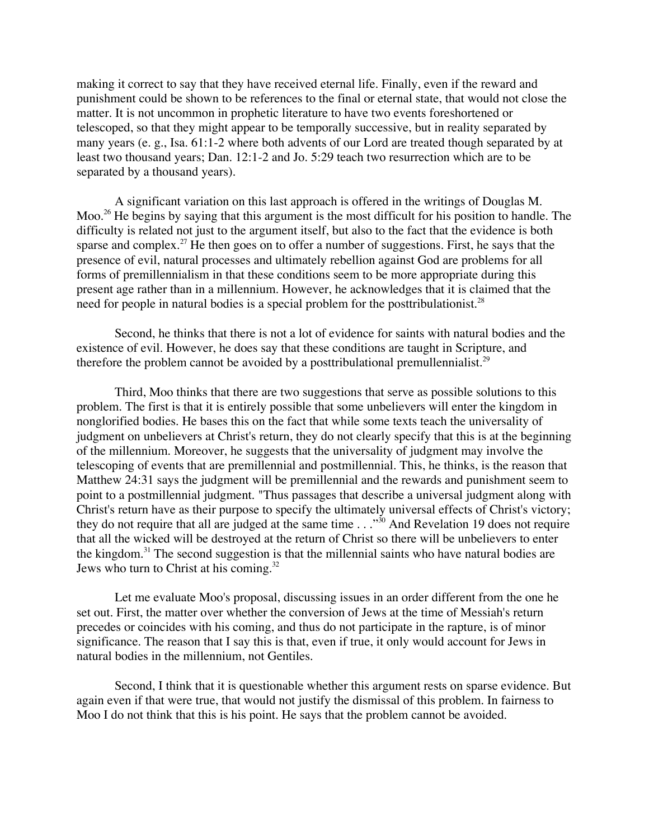making it correct to say that they have received eternal life. Finally, even if the reward and punishment could be shown to be references to the final or eternal state, that would not close the matter. It is not uncommon in prophetic literature to have two events foreshortened or telescoped, so that they might appear to be temporally successive, but in reality separated by many years (e. g., Isa. 61:1-2 where both advents of our Lord are treated though separated by at least two thousand years; Dan. 12:1-2 and Jo. 5:29 teach two resurrection which are to be separated by a thousand years).

A significant variation on this last approach is offered in the writings of Douglas M. Moo.<sup>26</sup> He begins by saying that this argument is the most difficult for his position to handle. The difficulty is related not just to the argument itself, but also to the fact that the evidence is both sparse and complex.<sup>27</sup> He then goes on to offer a number of suggestions. First, he says that the presence of evil, natural processes and ultimately rebellion against God are problems for all forms of premillennialism in that these conditions seem to be more appropriate during this present age rather than in a millennium. However, he acknowledges that it is claimed that the need for people in natural bodies is a special problem for the posttribulationist.<sup>28</sup>

Second, he thinks that there is not a lot of evidence for saints with natural bodies and the existence of evil. However, he does say that these conditions are taught in Scripture, and therefore the problem cannot be avoided by a posttribulational premullennialist.<sup>29</sup>

Third, Moo thinks that there are two suggestions that serve as possible solutions to this problem. The first is that it is entirely possible that some unbelievers will enter the kingdom in nonglorified bodies. He bases this on the fact that while some texts teach the universality of judgment on unbelievers at Christ's return, they do not clearly specify that this is at the beginning of the millennium. Moreover, he suggests that the universality of judgment may involve the telescoping of events that are premillennial and postmillennial. This, he thinks, is the reason that Matthew 24:31 says the judgment will be premillennial and the rewards and punishment seem to point to a postmillennial judgment. "Thus passages that describe a universal judgment along with Christ's return have as their purpose to specify the ultimately universal effects of Christ's victory; they do not require that all are judged at the same time  $\ldots$ <sup>30</sup> And Revelation 19 does not require that all the wicked will be destroyed at the return of Christ so there will be unbelievers to enter the kingdom.<sup>31</sup> The second suggestion is that the millennial saints who have natural bodies are Jews who turn to Christ at his coming.<sup>32</sup>

Let me evaluate Moo's proposal, discussing issues in an order different from the one he set out. First, the matter over whether the conversion of Jews at the time of Messiah's return precedes or coincides with his coming, and thus do not participate in the rapture, is of minor significance. The reason that I say this is that, even if true, it only would account for Jews in natural bodies in the millennium, not Gentiles.

Second, I think that it is questionable whether this argument rests on sparse evidence. But again even if that were true, that would not justify the dismissal of this problem. In fairness to Moo I do not think that this is his point. He says that the problem cannot be avoided.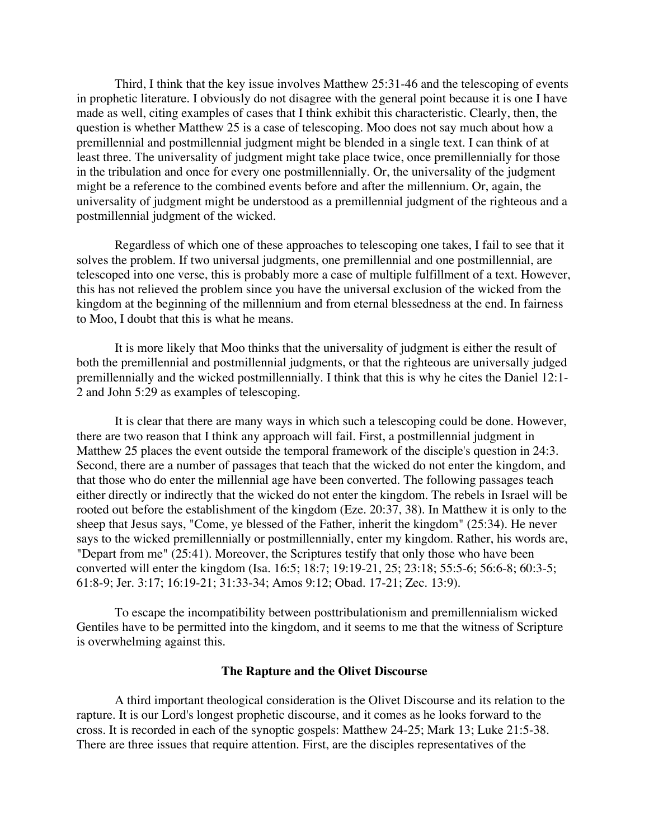Third, I think that the key issue involves Matthew 25:31-46 and the telescoping of events in prophetic literature. I obviously do not disagree with the general point because it is one I have made as well, citing examples of cases that I think exhibit this characteristic. Clearly, then, the question is whether Matthew 25 is a case of telescoping. Moo does not say much about how a premillennial and postmillennial judgment might be blended in a single text. I can think of at least three. The universality of judgment might take place twice, once premillennially for those in the tribulation and once for every one postmillennially. Or, the universality of the judgment might be a reference to the combined events before and after the millennium. Or, again, the universality of judgment might be understood as a premillennial judgment of the righteous and a postmillennial judgment of the wicked.

Regardless of which one of these approaches to telescoping one takes, I fail to see that it solves the problem. If two universal judgments, one premillennial and one postmillennial, are telescoped into one verse, this is probably more a case of multiple fulfillment of a text. However, this has not relieved the problem since you have the universal exclusion of the wicked from the kingdom at the beginning of the millennium and from eternal blessedness at the end. In fairness to Moo, I doubt that this is what he means.

It is more likely that Moo thinks that the universality of judgment is either the result of both the premillennial and postmillennial judgments, or that the righteous are universally judged premillennially and the wicked postmillennially. I think that this is why he cites the Daniel 12:1- 2 and John 5:29 as examples of telescoping.

It is clear that there are many ways in which such a telescoping could be done. However, there are two reason that I think any approach will fail. First, a postmillennial judgment in Matthew 25 places the event outside the temporal framework of the disciple's question in 24:3. Second, there are a number of passages that teach that the wicked do not enter the kingdom, and that those who do enter the millennial age have been converted. The following passages teach either directly or indirectly that the wicked do not enter the kingdom. The rebels in Israel will be rooted out before the establishment of the kingdom (Eze. 20:37, 38). In Matthew it is only to the sheep that Jesus says, "Come, ye blessed of the Father, inherit the kingdom" (25:34). He never says to the wicked premillennially or postmillennially, enter my kingdom. Rather, his words are, "Depart from me" (25:41). Moreover, the Scriptures testify that only those who have been converted will enter the kingdom (Isa. 16:5; 18:7; 19:19-21, 25; 23:18; 55:5-6; 56:6-8; 60:3-5; 61:8-9; Jer. 3:17; 16:19-21; 31:33-34; Amos 9:12; Obad. 17-21; Zec. 13:9).

To escape the incompatibility between posttribulationism and premillennialism wicked Gentiles have to be permitted into the kingdom, and it seems to me that the witness of Scripture is overwhelming against this.

#### **The Rapture and the Olivet Discourse**

A third important theological consideration is the Olivet Discourse and its relation to the rapture. It is our Lord's longest prophetic discourse, and it comes as he looks forward to the cross. It is recorded in each of the synoptic gospels: Matthew 24-25; Mark 13; Luke 21:5-38. There are three issues that require attention. First, are the disciples representatives of the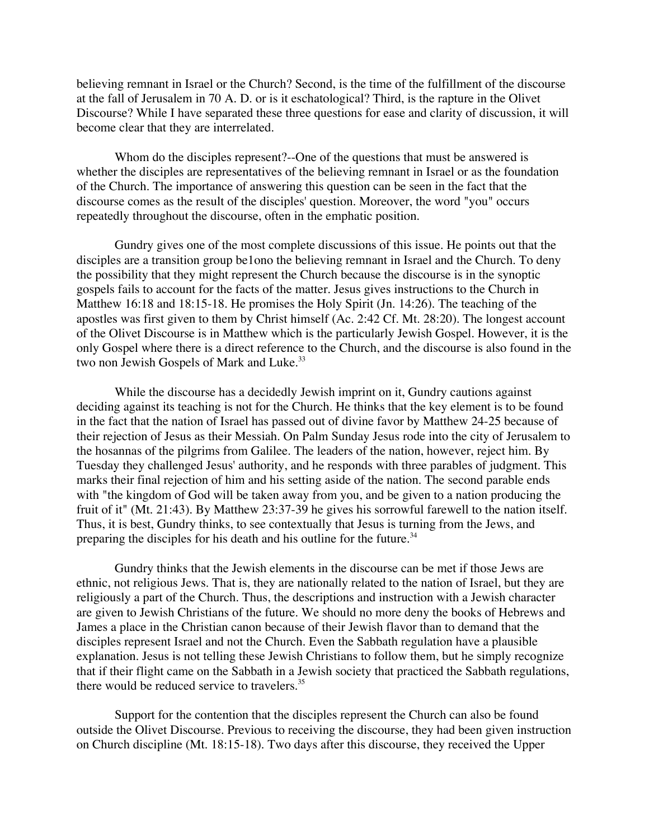believing remnant in Israel or the Church? Second, is the time of the fulfillment of the discourse at the fall of Jerusalem in 70 A. D. or is it eschatological? Third, is the rapture in the Olivet Discourse? While I have separated these three questions for ease and clarity of discussion, it will become clear that they are interrelated.

Whom do the disciples represent?--One of the questions that must be answered is whether the disciples are representatives of the believing remnant in Israel or as the foundation of the Church. The importance of answering this question can be seen in the fact that the discourse comes as the result of the disciples' question. Moreover, the word "you" occurs repeatedly throughout the discourse, often in the emphatic position.

Gundry gives one of the most complete discussions of this issue. He points out that the disciples are a transition group be1ono the believing remnant in Israel and the Church. To deny the possibility that they might represent the Church because the discourse is in the synoptic gospels fails to account for the facts of the matter. Jesus gives instructions to the Church in Matthew 16:18 and 18:15-18. He promises the Holy Spirit (Jn. 14:26). The teaching of the apostles was first given to them by Christ himself (Ac. 2:42 Cf. Mt. 28:20). The longest account of the Olivet Discourse is in Matthew which is the particularly Jewish Gospel. However, it is the only Gospel where there is a direct reference to the Church, and the discourse is also found in the two non Jewish Gospels of Mark and Luke.<sup>33</sup>

While the discourse has a decidedly Jewish imprint on it, Gundry cautions against deciding against its teaching is not for the Church. He thinks that the key element is to be found in the fact that the nation of Israel has passed out of divine favor by Matthew 24-25 because of their rejection of Jesus as their Messiah. On Palm Sunday Jesus rode into the city of Jerusalem to the hosannas of the pilgrims from Galilee. The leaders of the nation, however, reject him. By Tuesday they challenged Jesus' authority, and he responds with three parables of judgment. This marks their final rejection of him and his setting aside of the nation. The second parable ends with "the kingdom of God will be taken away from you, and be given to a nation producing the fruit of it" (Mt. 21:43). By Matthew 23:37-39 he gives his sorrowful farewell to the nation itself. Thus, it is best, Gundry thinks, to see contextually that Jesus is turning from the Jews, and preparing the disciples for his death and his outline for the future.<sup>34</sup>

Gundry thinks that the Jewish elements in the discourse can be met if those Jews are ethnic, not religious Jews. That is, they are nationally related to the nation of Israel, but they are religiously a part of the Church. Thus, the descriptions and instruction with a Jewish character are given to Jewish Christians of the future. We should no more deny the books of Hebrews and James a place in the Christian canon because of their Jewish flavor than to demand that the disciples represent Israel and not the Church. Even the Sabbath regulation have a plausible explanation. Jesus is not telling these Jewish Christians to follow them, but he simply recognize that if their flight came on the Sabbath in a Jewish society that practiced the Sabbath regulations, there would be reduced service to travelers.<sup>35</sup>

Support for the contention that the disciples represent the Church can also be found outside the Olivet Discourse. Previous to receiving the discourse, they had been given instruction on Church discipline (Mt. 18:15-18). Two days after this discourse, they received the Upper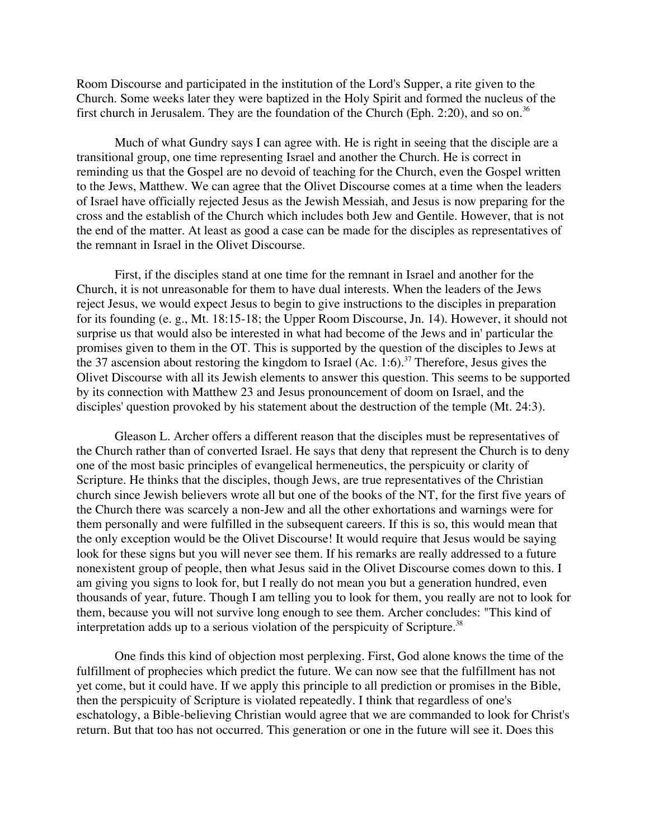Room Discourse and participated in the institution of the Lord's Supper, a rite given to the Church. Some weeks later they were baptized in the Holy Spirit and formed the nucleus of the first church in Jerusalem. They are the foundation of the Church (Eph. 2:20), and so on.<sup>36</sup>

Much of what Gundry says I can agree with. He is right in seeing that the disciple are a transitional group, one time representing Israel and another the Church. He is correct in reminding us that the Gospel are no devoid of teaching for the Church, even the Gospel written to the Jews, Matthew. We can agree that the Olivet Discourse comes at a time when the leaders of Israel have officially rejected Jesus as the Jewish Messiah, and Jesus is now preparing for the cross and the establish of the Church which includes both Jew and Gentile. However, that is not the end of the matter. At least as good a case can be made for the disciples as representatives of the remnant in Israel in the Olivet Discourse.

First, if the disciples stand at one time for the remnant in Israel and another for the Church, it is not unreasonable for them to have dual interests. When the leaders of the Jews reject Jesus, we would expect Jesus to begin to give instructions to the disciples in preparation for its founding (e. g., Mt. 18:15-18; the Upper Room Discourse, Jn. 14). However, it should not surprise us that would also be interested in what had become of the Jews and in' particular the promises given to them in the OT. This is supported by the question of the disciples to Jews at the 37 ascension about restoring the kingdom to Israel  $(Ac. 1:6)$ .<sup>37</sup> Therefore, Jesus gives the Olivet Discourse with all its Jewish elements to answer this question. This seems to be supported by its connection with Matthew 23 and Jesus pronouncement of doom on Israel, and the disciples' question provoked by his statement about the destruction of the temple (Mt. 24:3).

Gleason L. Archer offers a different reason that the disciples must be representatives of the Church rather than of converted Israel. He says that deny that represent the Church is to deny one of the most basic principles of evangelical hermeneutics, the perspicuity or clarity of Scripture. He thinks that the disciples, though Jews, are true representatives of the Christian church since Jewish believers wrote all but one of the books of the NT, for the first five years of the Church there was scarcely a non-Jew and all the other exhortations and warnings were for them personally and were fulfilled in the subsequent careers. If this is so, this would mean that the only exception would be the Olivet Discourse! It would require that Jesus would be saying look for these signs but you will never see them. If his remarks are really addressed to a future nonexistent group of people, then what Jesus said in the Olivet Discourse comes down to this. I am giving you signs to look for, but I really do not mean you but a generation hundred, even thousands of year, future. Though I am telling you to look for them, you really are not to look for them, because you will not survive long enough to see them. Archer concludes: "This kind of interpretation adds up to a serious violation of the perspicuity of Scripture.<sup>38</sup>

One finds this kind of objection most perplexing. First, God alone knows the time of the fulfillment of prophecies which predict the future. We can now see that the fulfillment has not yet come, but it could have. If we apply this principle to all prediction or promises in the Bible, then the perspicuity of Scripture is violated repeatedly. I think that regardless of one's eschatology, a Bible-believing Christian would agree that we are commanded to look for Christ's return. But that too has not occurred. This generation or one in the future will see it. Does this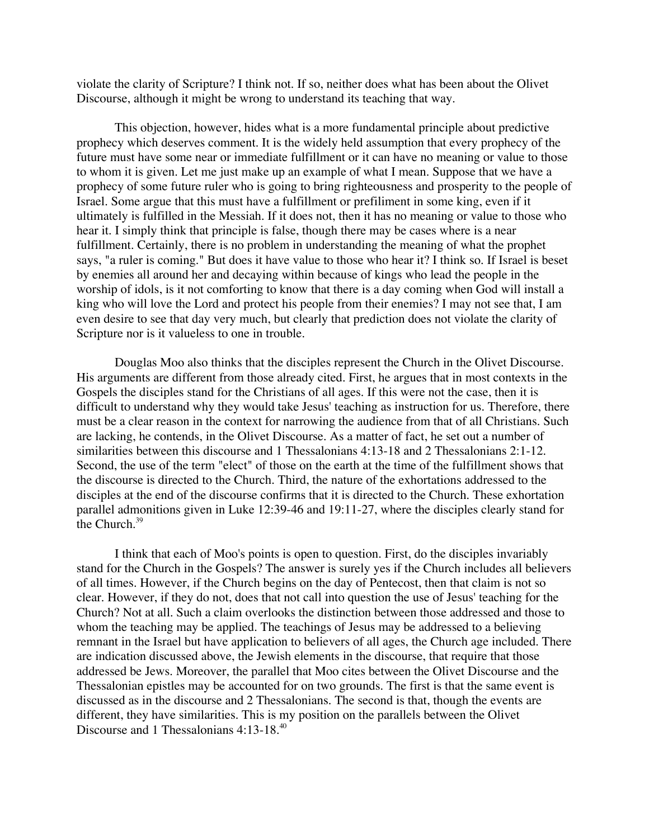violate the clarity of Scripture? I think not. If so, neither does what has been about the Olivet Discourse, although it might be wrong to understand its teaching that way.

This objection, however, hides what is a more fundamental principle about predictive prophecy which deserves comment. It is the widely held assumption that every prophecy of the future must have some near or immediate fulfillment or it can have no meaning or value to those to whom it is given. Let me just make up an example of what I mean. Suppose that we have a prophecy of some future ruler who is going to bring righteousness and prosperity to the people of Israel. Some argue that this must have a fulfillment or prefiliment in some king, even if it ultimately is fulfilled in the Messiah. If it does not, then it has no meaning or value to those who hear it. I simply think that principle is false, though there may be cases where is a near fulfillment. Certainly, there is no problem in understanding the meaning of what the prophet says, "a ruler is coming." But does it have value to those who hear it? I think so. If Israel is beset by enemies all around her and decaying within because of kings who lead the people in the worship of idols, is it not comforting to know that there is a day coming when God will install a king who will love the Lord and protect his people from their enemies? I may not see that, I am even desire to see that day very much, but clearly that prediction does not violate the clarity of Scripture nor is it valueless to one in trouble.

Douglas Moo also thinks that the disciples represent the Church in the Olivet Discourse. His arguments are different from those already cited. First, he argues that in most contexts in the Gospels the disciples stand for the Christians of all ages. If this were not the case, then it is difficult to understand why they would take Jesus' teaching as instruction for us. Therefore, there must be a clear reason in the context for narrowing the audience from that of all Christians. Such are lacking, he contends, in the Olivet Discourse. As a matter of fact, he set out a number of similarities between this discourse and 1 Thessalonians 4:13-18 and 2 Thessalonians 2:1-12. Second, the use of the term "elect" of those on the earth at the time of the fulfillment shows that the discourse is directed to the Church. Third, the nature of the exhortations addressed to the disciples at the end of the discourse confirms that it is directed to the Church. These exhortation parallel admonitions given in Luke 12:39-46 and 19:11-27, where the disciples clearly stand for the Church.<sup>39</sup>

I think that each of Moo's points is open to question. First, do the disciples invariably stand for the Church in the Gospels? The answer is surely yes if the Church includes all believers of all times. However, if the Church begins on the day of Pentecost, then that claim is not so clear. However, if they do not, does that not call into question the use of Jesus' teaching for the Church? Not at all. Such a claim overlooks the distinction between those addressed and those to whom the teaching may be applied. The teachings of Jesus may be addressed to a believing remnant in the Israel but have application to believers of all ages, the Church age included. There are indication discussed above, the Jewish elements in the discourse, that require that those addressed be Jews. Moreover, the parallel that Moo cites between the Olivet Discourse and the Thessalonian epistles may be accounted for on two grounds. The first is that the same event is discussed as in the discourse and 2 Thessalonians. The second is that, though the events are different, they have similarities. This is my position on the parallels between the Olivet Discourse and 1 Thessalonians 4:13-18.<sup>40</sup>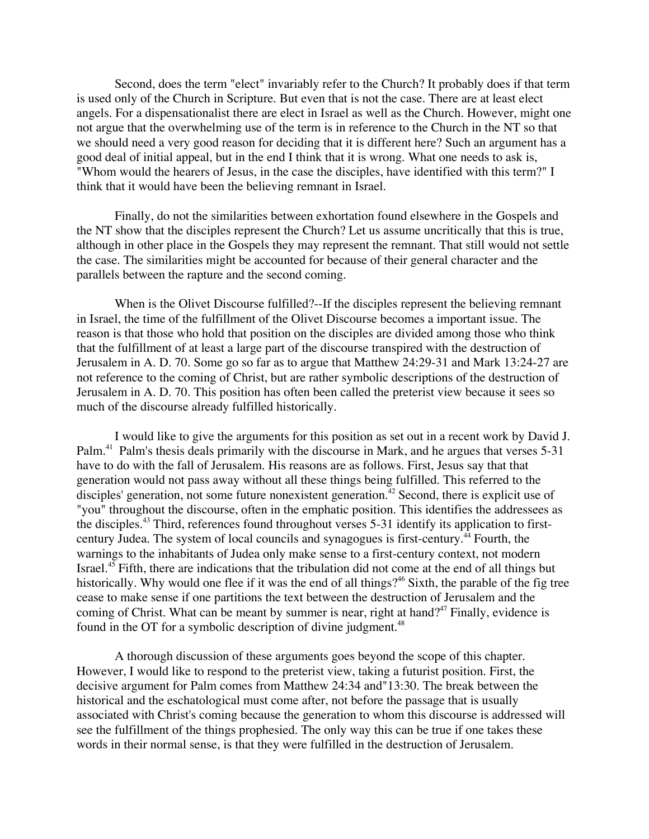Second, does the term "elect" invariably refer to the Church? It probably does if that term is used only of the Church in Scripture. But even that is not the case. There are at least elect angels. For a dispensationalist there are elect in Israel as well as the Church. However, might one not argue that the overwhelming use of the term is in reference to the Church in the NT so that we should need a very good reason for deciding that it is different here? Such an argument has a good deal of initial appeal, but in the end I think that it is wrong. What one needs to ask is, "Whom would the hearers of Jesus, in the case the disciples, have identified with this term?" I think that it would have been the believing remnant in Israel.

Finally, do not the similarities between exhortation found elsewhere in the Gospels and the NT show that the disciples represent the Church? Let us assume uncritically that this is true, although in other place in the Gospels they may represent the remnant. That still would not settle the case. The similarities might be accounted for because of their general character and the parallels between the rapture and the second coming.

When is the Olivet Discourse fulfilled?—If the disciples represent the believing remnant in Israel, the time of the fulfillment of the Olivet Discourse becomes a important issue. The reason is that those who hold that position on the disciples are divided among those who think that the fulfillment of at least a large part of the discourse transpired with the destruction of Jerusalem in A. D. 70. Some go so far as to argue that Matthew 24:29-31 and Mark 13:24-27 are not reference to the coming of Christ, but are rather symbolic descriptions of the destruction of Jerusalem in A. D. 70. This position has often been called the preterist view because it sees so much of the discourse already fulfilled historically.

I would like to give the arguments for this position as set out in a recent work by David J. Palm.<sup>41</sup> Palm's thesis deals primarily with the discourse in Mark, and he argues that verses 5-31 have to do with the fall of Jerusalem. His reasons are as follows. First, Jesus say that that generation would not pass away without all these things being fulfilled. This referred to the disciples' generation, not some future nonexistent generation.<sup>42</sup> Second, there is explicit use of "you" throughout the discourse, often in the emphatic position. This identifies the addressees as the disciples.<sup>43</sup> Third, references found throughout verses 5-31 identify its application to firstcentury Judea. The system of local councils and synagogues is first-century.<sup>44</sup> Fourth, the warnings to the inhabitants of Judea only make sense to a first-century context, not modern Israel.<sup>45</sup> Fifth, there are indications that the tribulation did not come at the end of all things but historically. Why would one flee if it was the end of all things?<sup>46</sup> Sixth, the parable of the fig tree cease to make sense if one partitions the text between the destruction of Jerusalem and the coming of Christ. What can be meant by summer is near, right at hand?<sup>47</sup> Finally, evidence is found in the OT for a symbolic description of divine judgment.<sup>48</sup>

A thorough discussion of these arguments goes beyond the scope of this chapter. However, I would like to respond to the preterist view, taking a futurist position. First, the decisive argument for Palm comes from Matthew 24:34 and"13:30. The break between the historical and the eschatological must come after, not before the passage that is usually associated with Christ's coming because the generation to whom this discourse is addressed will see the fulfillment of the things prophesied. The only way this can be true if one takes these words in their normal sense, is that they were fulfilled in the destruction of Jerusalem.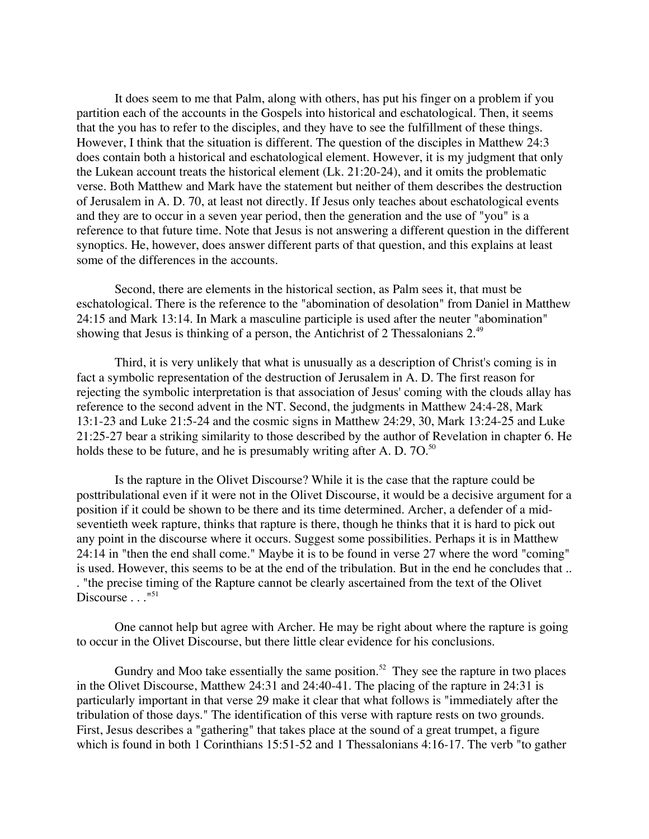It does seem to me that Palm, along with others, has put his finger on a problem if you partition each of the accounts in the Gospels into historical and eschatological. Then, it seems that the you has to refer to the disciples, and they have to see the fulfillment of these things. However, I think that the situation is different. The question of the disciples in Matthew 24:3 does contain both a historical and eschatological element. However, it is my judgment that only the Lukean account treats the historical element (Lk. 21:20-24), and it omits the problematic verse. Both Matthew and Mark have the statement but neither of them describes the destruction of Jerusalem in A. D. 70, at least not directly. If Jesus only teaches about eschatological events and they are to occur in a seven year period, then the generation and the use of "you" is a reference to that future time. Note that Jesus is not answering a different question in the different synoptics. He, however, does answer different parts of that question, and this explains at least some of the differences in the accounts.

Second, there are elements in the historical section, as Palm sees it, that must be eschatological. There is the reference to the "abomination of desolation" from Daniel in Matthew 24:15 and Mark 13:14. In Mark a masculine participle is used after the neuter "abomination" showing that Jesus is thinking of a person, the Antichrist of 2 Thessalonians 2.<sup>49</sup>

Third, it is very unlikely that what is unusually as a description of Christ's coming is in fact a symbolic representation of the destruction of Jerusalem in A. D. The first reason for rejecting the symbolic interpretation is that association of Jesus' coming with the clouds allay has reference to the second advent in the NT. Second, the judgments in Matthew 24:4-28, Mark 13:1-23 and Luke 21:5-24 and the cosmic signs in Matthew 24:29, 30, Mark 13:24-25 and Luke 21:25-27 bear a striking similarity to those described by the author of Revelation in chapter 6. He holds these to be future, and he is presumably writing after A. D.  $70^{50}$ .

Is the rapture in the Olivet Discourse? While it is the case that the rapture could be posttribulational even if it were not in the Olivet Discourse, it would be a decisive argument for a position if it could be shown to be there and its time determined. Archer, a defender of a midseventieth week rapture, thinks that rapture is there, though he thinks that it is hard to pick out any point in the discourse where it occurs. Suggest some possibilities. Perhaps it is in Matthew 24:14 in "then the end shall come." Maybe it is to be found in verse 27 where the word "coming" is used. However, this seems to be at the end of the tribulation. But in the end he concludes that .. . "the precise timing of the Rapture cannot be clearly ascertained from the text of the Olivet Discourse  $\ldots$ <sup>"51</sup>

One cannot help but agree with Archer. He may be right about where the rapture is going to occur in the Olivet Discourse, but there little clear evidence for his conclusions.

Gundry and Moo take essentially the same position.<sup>52</sup> They see the rapture in two places in the Olivet Discourse, Matthew 24:31 and 24:40-41. The placing of the rapture in 24:31 is particularly important in that verse 29 make it clear that what follows is "immediately after the tribulation of those days." The identification of this verse with rapture rests on two grounds. First, Jesus describes a "gathering" that takes place at the sound of a great trumpet, a figure which is found in both 1 Corinthians 15:51-52 and 1 Thessalonians 4:16-17. The verb "to gather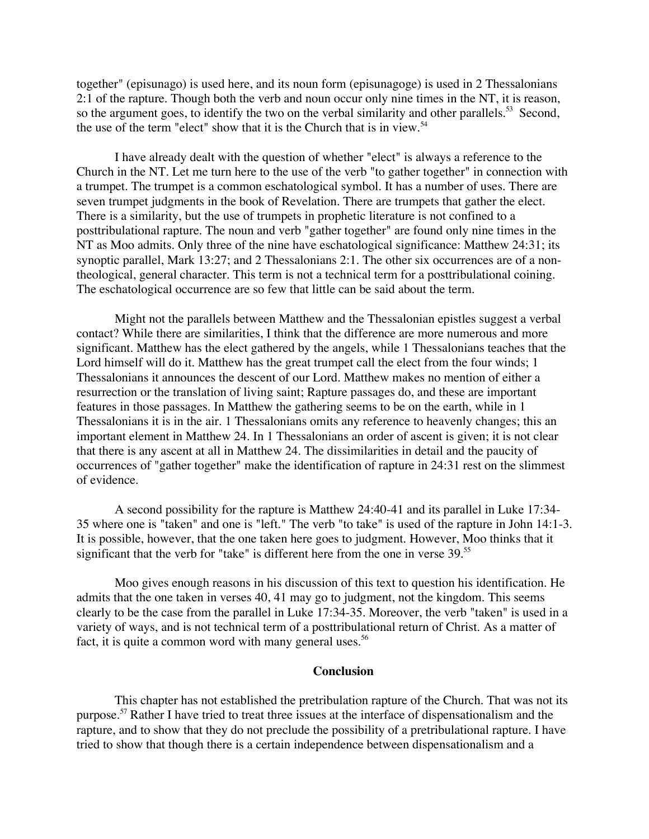together" (episunago) is used here, and its noun form (episunagoge) is used in 2 Thessalonians 2:1 of the rapture. Though both the verb and noun occur only nine times in the NT, it is reason, so the argument goes, to identify the two on the verbal similarity and other parallels.<sup>53</sup> Second, the use of the term "elect" show that it is the Church that is in view.<sup>54</sup>

I have already dealt with the question of whether "elect" is always a reference to the Church in the NT. Let me turn here to the use of the verb "to gather together" in connection with a trumpet. The trumpet is a common eschatological symbol. It has a number of uses. There are seven trumpet judgments in the book of Revelation. There are trumpets that gather the elect. There is a similarity, but the use of trumpets in prophetic literature is not confined to a posttribulational rapture. The noun and verb "gather together" are found only nine times in the NT as Moo admits. Only three of the nine have eschatological significance: Matthew 24:31; its synoptic parallel, Mark 13:27; and 2 Thessalonians 2:1. The other six occurrences are of a nontheological, general character. This term is not a technical term for a posttribulational coining. The eschatological occurrence are so few that little can be said about the term.

Might not the parallels between Matthew and the Thessalonian epistles suggest a verbal contact? While there are similarities, I think that the difference are more numerous and more significant. Matthew has the elect gathered by the angels, while 1 Thessalonians teaches that the Lord himself will do it. Matthew has the great trumpet call the elect from the four winds; 1 Thessalonians it announces the descent of our Lord. Matthew makes no mention of either a resurrection or the translation of living saint; Rapture passages do, and these are important features in those passages. In Matthew the gathering seems to be on the earth, while in 1 Thessalonians it is in the air. 1 Thessalonians omits any reference to heavenly changes; this an important element in Matthew 24. In 1 Thessalonians an order of ascent is given; it is not clear that there is any ascent at all in Matthew 24. The dissimilarities in detail and the paucity of occurrences of "gather together" make the identification of rapture in 24:31 rest on the slimmest of evidence.

A second possibility for the rapture is Matthew 24:40-41 and its parallel in Luke 17:34- 35 where one is "taken" and one is "left." The verb "to take" is used of the rapture in John 14:1-3. It is possible, however, that the one taken here goes to judgment. However, Moo thinks that it significant that the verb for "take" is different here from the one in verse 39.<sup>55</sup>

Moo gives enough reasons in his discussion of this text to question his identification. He admits that the one taken in verses 40, 41 may go to judgment, not the kingdom. This seems clearly to be the case from the parallel in Luke 17:34-35. Moreover, the verb "taken" is used in a variety of ways, and is not technical term of a posttribulational return of Christ. As a matter of fact, it is quite a common word with many general uses.<sup>56</sup>

#### **Conclusion**

This chapter has not established the pretribulation rapture of the Church. That was not its purpose.<sup>57</sup> Rather I have tried to treat three issues at the interface of dispensationalism and the rapture, and to show that they do not preclude the possibility of a pretribulational rapture. I have tried to show that though there is a certain independence between dispensationalism and a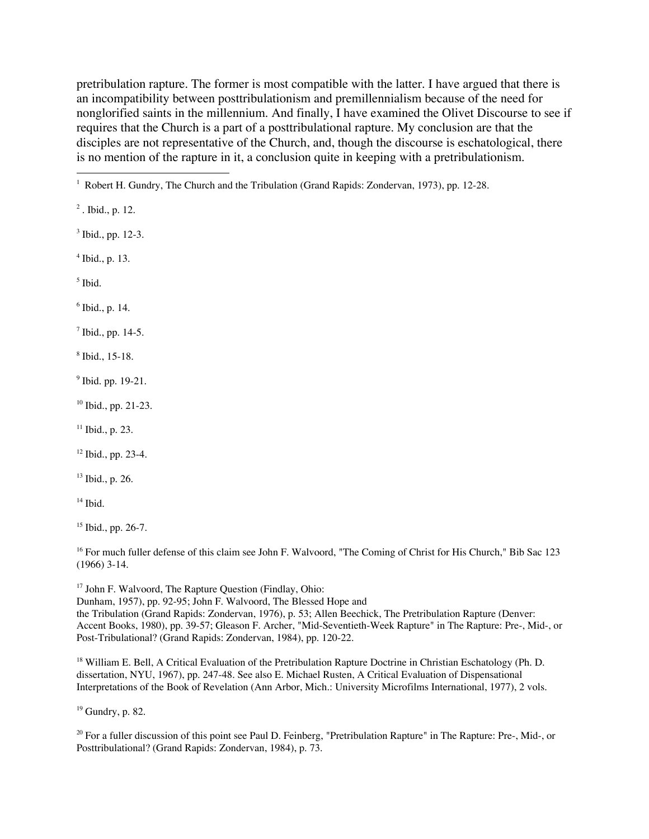pretribulation rapture. The former is most compatible with the latter. I have argued that there is an incompatibility between posttribulationism and premillennialism because of the need for nonglorified saints in the millennium. And finally, I have examined the Olivet Discourse to see if requires that the Church is a part of a posttribulational rapture. My conclusion are that the disciples are not representative of the Church, and, though the discourse is eschatological, there is no mention of the rapture in it, a conclusion quite in keeping with a pretribulationism.

<sup>2</sup>. Ibid., p. 12.

3 Ibid., pp. 12-3.

4 Ibid., p. 13.

5 Ibid.

6 Ibid., p. 14.

 $<sup>7</sup>$  Ibid., pp. 14-5.</sup>

8 Ibid., 15-18.

<sup>9</sup> Ibid. pp. 19-21.

10 Ibid., pp. 21-23.

 $11$  Ibid., p. 23.

<sup>12</sup> Ibid., pp. 23-4.

<sup>13</sup> Ibid., p. 26.

14 Ibid.

15 Ibid., pp. 26-7.

<sup>16</sup> For much fuller defense of this claim see John F. Walvoord, "The Coming of Christ for His Church," Bib Sac 123 (1966) 3-14.

<sup>17</sup> John F. Walvoord, The Rapture Question (Findlay, Ohio: Dunham, 1957), pp. 92-95; John F. Walvoord, The Blessed Hope and the Tribulation (Grand Rapids: Zondervan, 1976), p. 53; Allen Beechick, The Pretribulation Rapture (Denver: Accent Books, 1980), pp. 39-57; Gleason F. Archer, "Mid-Seventieth-Week Rapture" in The Rapture: Pre-, Mid-, or Post-Tribulational? (Grand Rapids: Zondervan, 1984), pp. 120-22.

<sup>18</sup> William E. Bell, A Critical Evaluation of the Pretribulation Rapture Doctrine in Christian Eschatology (Ph. D. dissertation, NYU, 1967), pp. 247-48. See also E. Michael Rusten, A Critical Evaluation of Dispensational Interpretations of the Book of Revelation (Ann Arbor, Mich.: University Microfilms International, 1977), 2 vols.

<sup>19</sup> Gundry, p. 82.

<sup>20</sup> For a fuller discussion of this point see Paul D. Feinberg, "Pretribulation Rapture" in The Rapture: Pre-, Mid-, or Posttribulational? (Grand Rapids: Zondervan, 1984), p. 73.

 $\frac{1}{1}$ <sup>1</sup> Robert H. Gundry, The Church and the Tribulation (Grand Rapids: Zondervan, 1973), pp. 12-28.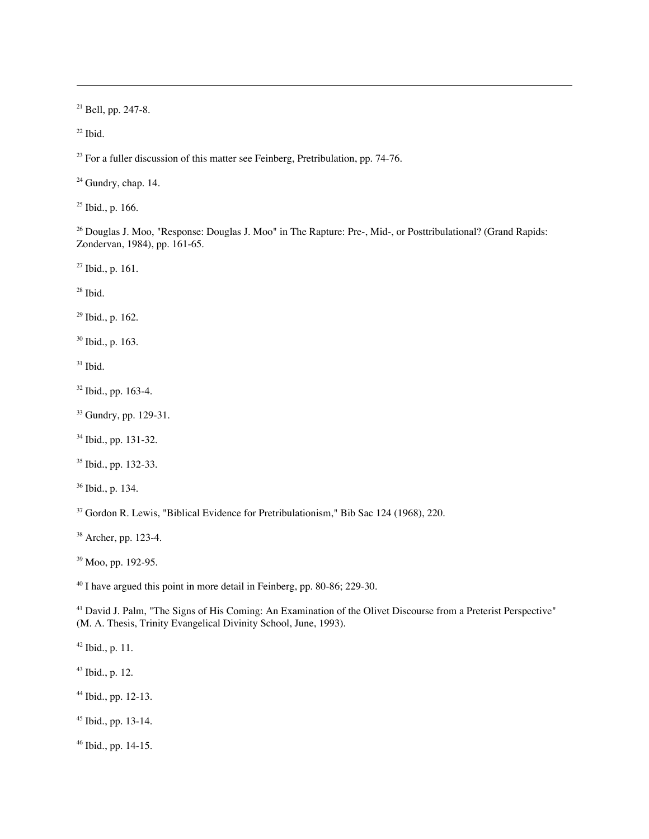<sup>21</sup> Bell, pp. 247-8.

 $22$  Ibid.

-

 $2<sup>23</sup>$  For a fuller discussion of this matter see Feinberg, Pretribulation, pp. 74-76.

 $24$  Gundry, chap. 14.

<sup>25</sup> Ibid., p. 166.

<sup>26</sup> Douglas J. Moo, "Response: Douglas J. Moo" in The Rapture: Pre-, Mid-, or Posttribulational? (Grand Rapids: Zondervan, 1984), pp. 161-65.

<sup>27</sup> Ibid., p. 161.

28 Ibid.

<sup>29</sup> Ibid., p. 162.

<sup>30</sup> Ibid., p. 163.

 $31$  Ibid.

<sup>32</sup> Ibid., pp. 163-4.

<sup>33</sup> Gundry, pp. 129-31.

34 Ibid., pp. 131-32.

35 Ibid., pp. 132-33.

<sup>36</sup> Ibid., p. 134.

<sup>37</sup> Gordon R. Lewis, "Biblical Evidence for Pretribulationism," Bib Sac 124 (1968), 220.

38 Archer, pp. 123-4.

<sup>39</sup> Moo, pp. 192-95.

<sup>40</sup> I have argued this point in more detail in Feinberg, pp. 80-86; 229-30.

<sup>41</sup> David J. Palm, "The Signs of His Coming: An Examination of the Olivet Discourse from a Preterist Perspective" (M. A. Thesis, Trinity Evangelical Divinity School, June, 1993).

42 Ibid., p. 11.

43 Ibid., p. 12.

44 Ibid., pp. 12-13.

45 Ibid., pp. 13-14.

46 Ibid., pp. 14-15.